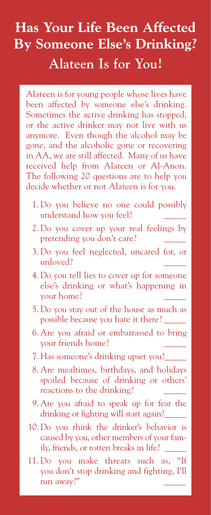## **Has Your Life Been Affected By Someone Else's Drinking? Alateen Is for You!**

Alateen is for young people whose lives have been affected by someone else's drinking. Sometimes the active drinking has stopped, or the active drinker may not live with us anymore. Even though the alcohol may be gone, and the alcoholic gone or recovering in AA, we are still affected. Many of us have received help from Alateen or Al-Anon. The following 20 questions are to help you decide whether or not Alateen is for you.

- 1. Do you believe no one could possibly understand how you feel? \_\_\_\_\_
- 2. Do you cover up your real feelings by pretending you don't care?
- 3. Do you feel neglected, uncared for, or unloved?
- 4. Do you tell lies to cover up for someone else's drinking or what's happening in your home? \_\_\_\_\_
- 5. Do you stay out of the house as much as possible because you hate it there? \_\_\_\_\_
- 6. Are you afraid or embarrassed to bring your friends home?
- 7. Has someone's drinking upset you? \_\_\_\_\_
- 8. Are mealtimes, birthdays, and holidays spoiled because of drinking or others' reactions to the drinking?
- 9. Are you afraid to speak up for fear the drinking or fighting will start again? \_\_\_\_\_
- 10. Do you think the drinker's behavior is caused by you, other members of your family, friends, or rotten breaks in life? \_\_\_\_\_
- 11. Do you make threats such as, you don't stop drinking and fighting, I'll run away?"